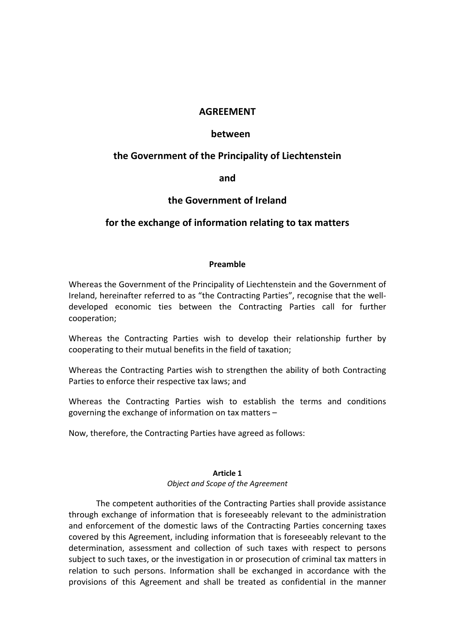## **AGREEMENT**

## **between**

# **the Government of the Principality of Liechtenstein**

**and**

# **the Government of Ireland**

# **for the exchange of information relating to tax matters**

#### **Preamble**

Whereas the Government of the Principality of Liechtenstein and the Government of Ireland, hereinafter referred to as "the Contracting Parties", recognise that the welldeveloped economic ties between the Contracting Parties call for further cooperation;

Whereas the Contracting Parties wish to develop their relationship further by cooperating to their mutual benefits in the field of taxation;

Whereas the Contracting Parties wish to strengthen the ability of both Contracting Parties to enforce their respective tax laws; and

Whereas the Contracting Parties wish to establish the terms and conditions governing the exchange of information on tax matters –

Now, therefore, the Contracting Parties have agreed as follows:

#### **Article 1**

#### *Object and Scope of the Agreement*

The competent authorities of the Contracting Parties shall provide assistance through exchange of information that is foreseeably relevant to the administration and enforcement of the domestic laws of the Contracting Parties concerning taxes covered by this Agreement, including information that is foreseeably relevant to the determination, assessment and collection of such taxes with respect to persons subject to such taxes, or the investigation in or prosecution of criminal tax matters in relation to such persons. Information shall be exchanged in accordance with the provisions of this Agreement and shall be treated as confidential in the manner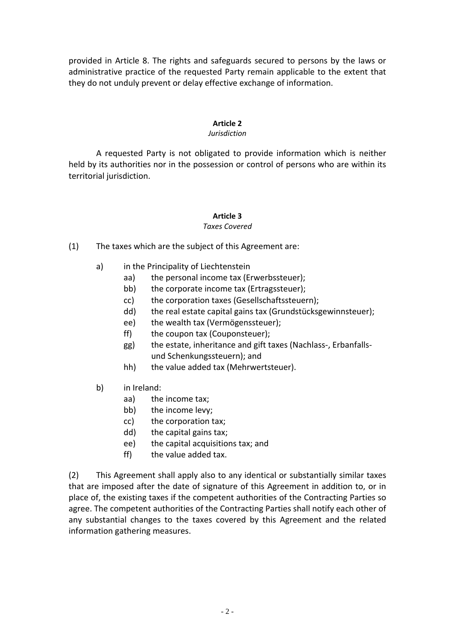provided in Article 8. The rights and safeguards secured to persons by the laws or administrative practice of the requested Party remain applicable to the extent that they do not unduly prevent or delay effective exchange of information.

## **Article 2**

#### *Jurisdiction*

A requested Party is not obligated to provide information which is neither held by its authorities nor in the possession or control of persons who are within its territorial jurisdiction.

## **Article 3**

## *Taxes Covered*

- (1) The taxes which are the subject of this Agreement are:
	- a) in the Principality of Liechtenstein
		- aa) the personal income tax (Erwerbssteuer);
		- bb) the corporate income tax (Ertragssteuer);
		- cc) the corporation taxes (Gesellschaftssteuern);
		- dd) the real estate capital gains tax (Grundstücksgewinnsteuer);
		- ee) the wealth tax (Vermögenssteuer);
		- ff) the coupon tax (Couponsteuer);
		- gg) the estate, inheritance and gift taxes (Nachlass-, Erbanfallsund Schenkungssteuern); and
		- hh) the value added tax (Mehrwertsteuer).
	- b) in Ireland:
		- aa) the income tax;
		- bb) the income levy;
		- cc) the corporation tax;
		- dd) the capital gains tax;
		- ee) the capital acquisitions tax; and
		- ff) the value added tax.

(2) This Agreement shall apply also to any identical or substantially similar taxes that are imposed after the date of signature of this Agreement in addition to, or in place of, the existing taxes if the competent authorities of the Contracting Parties so agree. The competent authorities of the Contracting Parties shall notify each other of any substantial changes to the taxes covered by this Agreement and the related information gathering measures.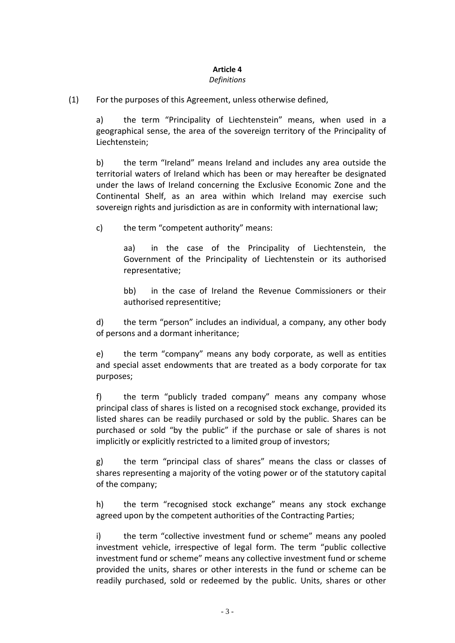#### **Article 4**

#### *Definitions*

(1) For the purposes of this Agreement, unless otherwise defined,

a) the term "Principality of Liechtenstein" means, when used in a geographical sense, the area of the sovereign territory of the Principality of Liechtenstein;

b) the term "Ireland" means Ireland and includes any area outside the territorial waters of Ireland which has been or may hereafter be designated under the laws of Ireland concerning the Exclusive Economic Zone and the Continental Shelf, as an area within which Ireland may exercise such sovereign rights and jurisdiction as are in conformity with international law;

c) the term "competent authority" means:

aa) in the case of the Principality of Liechtenstein, the Government of the Principality of Liechtenstein or its authorised representative;

bb) in the case of Ireland the Revenue Commissioners or their authorised representitive;

d) the term "person" includes an individual, a company, any other body of persons and a dormant inheritance;

e) the term "company" means any body corporate, as well as entities and special asset endowments that are treated as a body corporate for tax purposes;

f) the term "publicly traded company" means any company whose principal class of shares is listed on a recognised stock exchange, provided its listed shares can be readily purchased or sold by the public. Shares can be purchased or sold "by the public" if the purchase or sale of shares is not implicitly or explicitly restricted to a limited group of investors;

g) the term "principal class of shares" means the class or classes of shares representing a majority of the voting power or of the statutory capital of the company;

h) the term "recognised stock exchange" means any stock exchange agreed upon by the competent authorities of the Contracting Parties;

i) the term "collective investment fund or scheme" means any pooled investment vehicle, irrespective of legal form. The term "public collective investment fund or scheme" means any collective investment fund or scheme provided the units, shares or other interests in the fund or scheme can be readily purchased, sold or redeemed by the public. Units, shares or other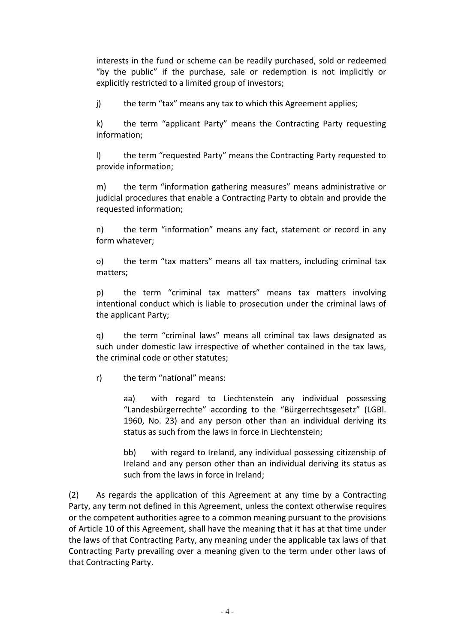interests in the fund or scheme can be readily purchased, sold or redeemed "by the public" if the purchase, sale or redemption is not implicitly or explicitly restricted to a limited group of investors;

j) the term "tax" means any tax to which this Agreement applies;

k) the term "applicant Party" means the Contracting Party requesting information;

l) the term "requested Party" means the Contracting Party requested to provide information;

m) the term "information gathering measures" means administrative or judicial procedures that enable a Contracting Party to obtain and provide the requested information;

n) the term "information" means any fact, statement or record in any form whatever;

o) the term "tax matters" means all tax matters, including criminal tax matters;

p) the term "criminal tax matters" means tax matters involving intentional conduct which is liable to prosecution under the criminal laws of the applicant Party;

q) the term "criminal laws" means all criminal tax laws designated as such under domestic law irrespective of whether contained in the tax laws, the criminal code or other statutes;

r) the term "national" means:

aa) with regard to Liechtenstein any individual possessing "Landesbürgerrechte" according to the "Bürgerrechtsgesetz" (LGBl. 1960, No. 23) and any person other than an individual deriving its status as such from the laws in force in Liechtenstein;

bb) with regard to Ireland, any individual possessing citizenship of Ireland and any person other than an individual deriving its status as such from the laws in force in Ireland;

(2) As regards the application of this Agreement at any time by a Contracting Party, any term not defined in this Agreement, unless the context otherwise requires or the competent authorities agree to a common meaning pursuant to the provisions of Article 10 of this Agreement, shall have the meaning that it has at that time under the laws of that Contracting Party, any meaning under the applicable tax laws of that Contracting Party prevailing over a meaning given to the term under other laws of that Contracting Party.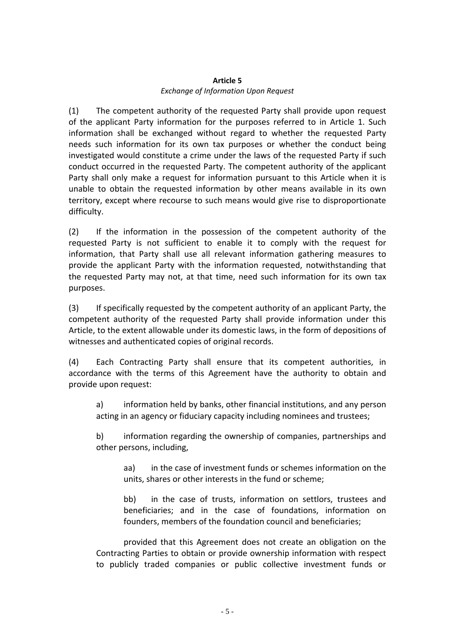# **Article 5** *Exchange of Information Upon Request*

(1) The competent authority of the requested Party shall provide upon request of the applicant Party information for the purposes referred to in Article 1. Such information shall be exchanged without regard to whether the requested Party needs such information for its own tax purposes or whether the conduct being investigated would constitute a crime under the laws of the requested Party if such conduct occurred in the requested Party. The competent authority of the applicant Party shall only make a request for information pursuant to this Article when it is unable to obtain the requested information by other means available in its own territory, except where recourse to such means would give rise to disproportionate difficulty.

(2) If the information in the possession of the competent authority of the requested Party is not sufficient to enable it to comply with the request for information, that Party shall use all relevant information gathering measures to provide the applicant Party with the information requested, notwithstanding that the requested Party may not, at that time, need such information for its own tax purposes.

(3) If specifically requested by the competent authority of an applicant Party, the competent authority of the requested Party shall provide information under this Article, to the extent allowable under its domestic laws, in the form of depositions of witnesses and authenticated copies of original records.

(4) Each Contracting Party shall ensure that its competent authorities, in accordance with the terms of this Agreement have the authority to obtain and provide upon request:

a) information held by banks, other financial institutions, and any person acting in an agency or fiduciary capacity including nominees and trustees;

b) information regarding the ownership of companies, partnerships and other persons, including,

aa) in the case of investment funds or schemes information on the units, shares or other interests in the fund or scheme;

bb) in the case of trusts, information on settlors, trustees and beneficiaries; and in the case of foundations, information on founders, members of the foundation council and beneficiaries;

provided that this Agreement does not create an obligation on the Contracting Parties to obtain or provide ownership information with respect to publicly traded companies or public collective investment funds or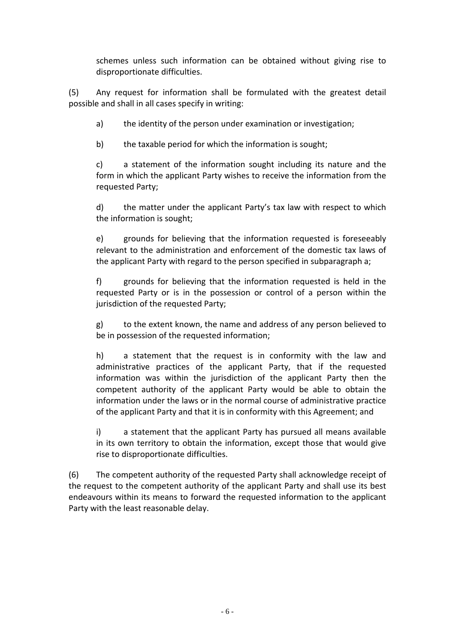schemes unless such information can be obtained without giving rise to disproportionate difficulties.

(5) Any request for information shall be formulated with the greatest detail possible and shall in all cases specify in writing:

a) the identity of the person under examination or investigation;

b) the taxable period for which the information is sought;

c) a statement of the information sought including its nature and the form in which the applicant Party wishes to receive the information from the requested Party;

d) the matter under the applicant Party's tax law with respect to which the information is sought;

e) grounds for believing that the information requested is foreseeably relevant to the administration and enforcement of the domestic tax laws of the applicant Party with regard to the person specified in subparagraph a;

f) grounds for believing that the information requested is held in the requested Party or is in the possession or control of a person within the jurisdiction of the requested Party;

g) to the extent known, the name and address of any person believed to be in possession of the requested information;

h) a statement that the request is in conformity with the law and administrative practices of the applicant Party, that if the requested information was within the jurisdiction of the applicant Party then the competent authority of the applicant Party would be able to obtain the information under the laws or in the normal course of administrative practice of the applicant Party and that it is in conformity with this Agreement; and

i) a statement that the applicant Party has pursued all means available in its own territory to obtain the information, except those that would give rise to disproportionate difficulties.

(6) The competent authority of the requested Party shall acknowledge receipt of the request to the competent authority of the applicant Party and shall use its best endeavours within its means to forward the requested information to the applicant Party with the least reasonable delay.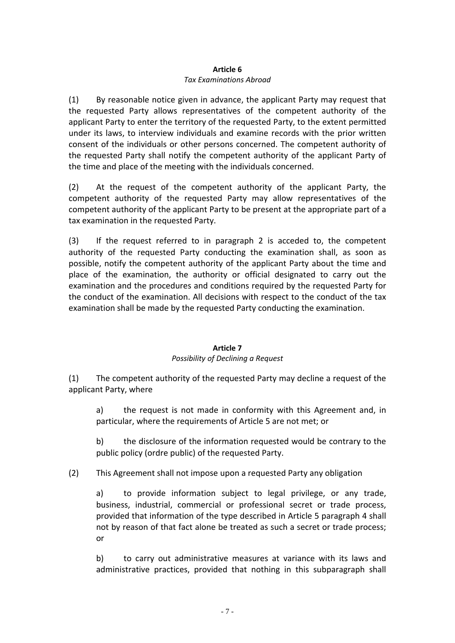#### **Article 6**

#### *Tax Examinations Abroad*

(1) By reasonable notice given in advance, the applicant Party may request that the requested Party allows representatives of the competent authority of the applicant Party to enter the territory of the requested Party, to the extent permitted under its laws, to interview individuals and examine records with the prior written consent of the individuals or other persons concerned. The competent authority of the requested Party shall notify the competent authority of the applicant Party of the time and place of the meeting with the individuals concerned.

(2) At the request of the competent authority of the applicant Party, the competent authority of the requested Party may allow representatives of the competent authority of the applicant Party to be present at the appropriate part of a tax examination in the requested Party.

(3) If the request referred to in paragraph 2 is acceded to, the competent authority of the requested Party conducting the examination shall, as soon as possible, notify the competent authority of the applicant Party about the time and place of the examination, the authority or official designated to carry out the examination and the procedures and conditions required by the requested Party for the conduct of the examination. All decisions with respect to the conduct of the tax examination shall be made by the requested Party conducting the examination.

#### **Article 7**

#### *Possibility of Declining a Request*

(1) The competent authority of the requested Party may decline a request of the applicant Party, where

a) the request is not made in conformity with this Agreement and, in particular, where the requirements of Article 5 are not met; or

b) the disclosure of the information requested would be contrary to the public policy (ordre public) of the requested Party.

(2) This Agreement shall not impose upon a requested Party any obligation

a) to provide information subject to legal privilege, or any trade, business, industrial, commercial or professional secret or trade process, provided that information of the type described in Article 5 paragraph 4 shall not by reason of that fact alone be treated as such a secret or trade process; or

b) to carry out administrative measures at variance with its laws and administrative practices, provided that nothing in this subparagraph shall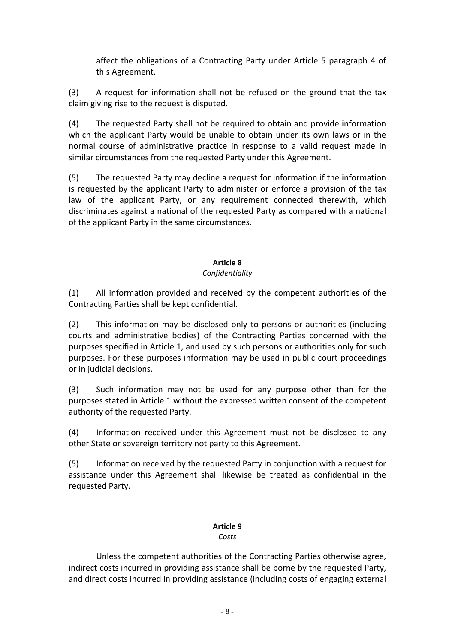affect the obligations of a Contracting Party under Article 5 paragraph 4 of this Agreement.

(3) A request for information shall not be refused on the ground that the tax claim giving rise to the request is disputed.

(4) The requested Party shall not be required to obtain and provide information which the applicant Party would be unable to obtain under its own laws or in the normal course of administrative practice in response to a valid request made in similar circumstances from the requested Party under this Agreement.

(5) The requested Party may decline a request for information if the information is requested by the applicant Party to administer or enforce a provision of the tax law of the applicant Party, or any requirement connected therewith, which discriminates against a national of the requested Party as compared with a national of the applicant Party in the same circumstances.

## **Article 8**

# *Confidentiality*

(1) All information provided and received by the competent authorities of the Contracting Parties shall be kept confidential.

(2) This information may be disclosed only to persons or authorities (including courts and administrative bodies) of the Contracting Parties concerned with the purposes specified in Article 1, and used by such persons or authorities only for such purposes. For these purposes information may be used in public court proceedings or in judicial decisions.

(3) Such information may not be used for any purpose other than for the purposes stated in Article 1 without the expressed written consent of the competent authority of the requested Party.

(4) Information received under this Agreement must not be disclosed to any other State or sovereign territory not party to this Agreement.

(5) Information received by the requested Party in conjunction with a request for assistance under this Agreement shall likewise be treated as confidential in the requested Party.

# **Article 9**

## *Costs*

Unless the competent authorities of the Contracting Parties otherwise agree, indirect costs incurred in providing assistance shall be borne by the requested Party, and direct costs incurred in providing assistance (including costs of engaging external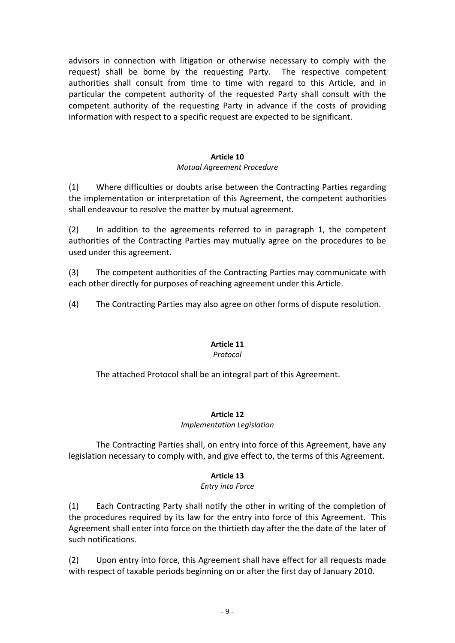advisors in connection with litigation or otherwise necessary to comply with the request) shall be borne by the requesting Party. The respective competent authorities shall consult from time to time with regard to this Article, and in particular the competent authority of the requested Party shall consult with the competent authority of the requesting Party in advance if the costs of providing information with respect to a specific request are expected to be significant.

## **Article 10**

## *Mutual Agreement Procedure*

(1) Where difficulties or doubts arise between the Contracting Parties regarding the implementation or interpretation of this Agreement, the competent authorities shall endeavour to resolve the matter by mutual agreement.

(2) In addition to the agreements referred to in paragraph 1, the competent authorities of the Contracting Parties may mutually agree on the procedures to be used under this agreement.

(3) The competent authorities of the Contracting Parties may communicate with each other directly for purposes of reaching agreement under this Article.

(4) The Contracting Parties may also agree on other forms of dispute resolution.

## **Article 11**

## *Protocol*

The attached Protocol shall be an integral part of this Agreement.

## **Article 12**

## *Implementation Legislation*

The Contracting Parties shall, on entry into force of this Agreement, have any legislation necessary to comply with, and give effect to, the terms of this Agreement.

## **Article 13**

## *Entry into Force*

(1) Each Contracting Party shall notify the other in writing of the completion of the procedures required by its law for the entry into force of this Agreement. This Agreement shall enter into force on the thirtieth day after the the date of the later of such notifications.

(2) Upon entry into force, this Agreement shall have effect for all requests made with respect of taxable periods beginning on or after the first day of January 2010.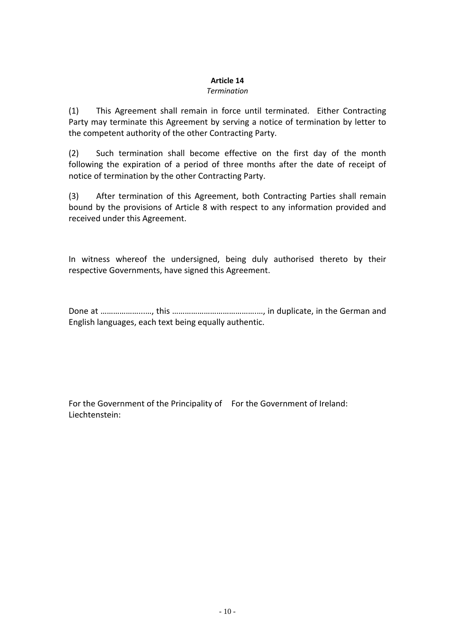## **Article 14**

#### *Termination*

(1) This Agreement shall remain in force until terminated. Either Contracting Party may terminate this Agreement by serving a notice of termination by letter to the competent authority of the other Contracting Party.

(2) Such termination shall become effective on the first day of the month following the expiration of a period of three months after the date of receipt of notice of termination by the other Contracting Party.

(3) After termination of this Agreement, both Contracting Parties shall remain bound by the provisions of Article 8 with respect to any information provided and received under this Agreement.

In witness whereof the undersigned, being duly authorised thereto by their respective Governments, have signed this Agreement.

Done at …………………………, this …………………………………………………, in duplicate, in the German and English languages, each text being equally authentic.

For the Government of the Principality of For the Government of Ireland:Liechtenstein: